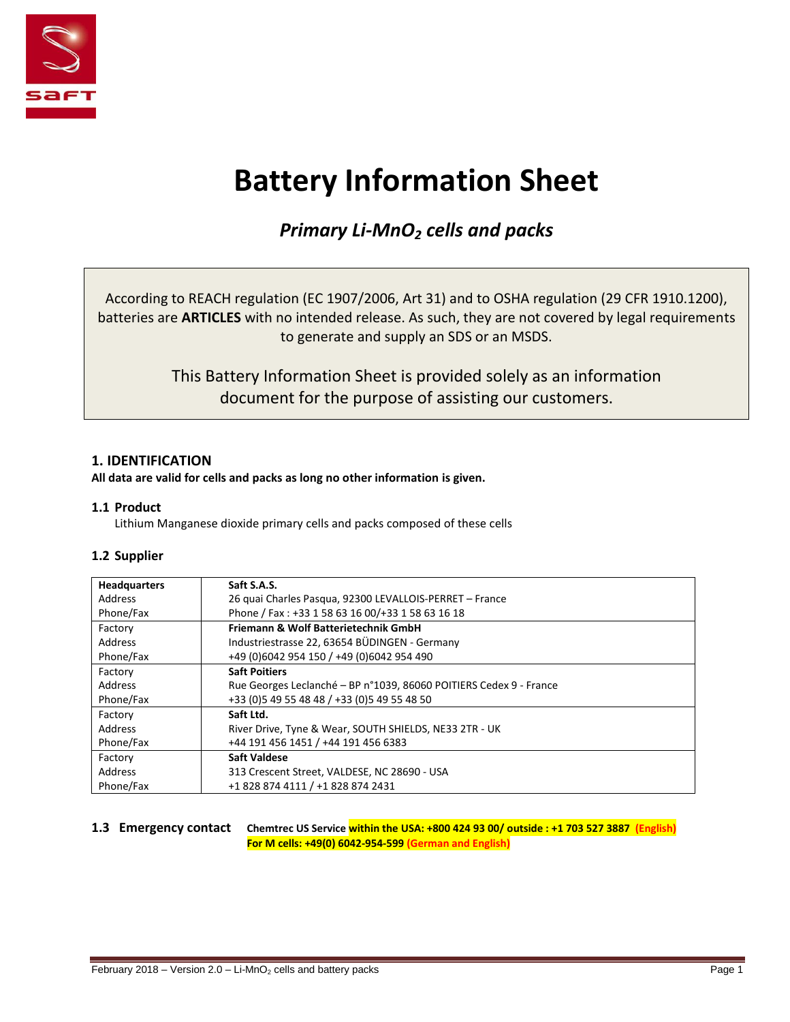

# **Battery Information Sheet**

## *Primary Li-MnO<sup>2</sup> cells and packs*

According to REACH regulation (EC 1907/2006, Art 31) and to OSHA regulation (29 CFR 1910.1200), batteries are **ARTICLES** with no intended release. As such, they are not covered by legal requirements to generate and supply an SDS or an MSDS.

> This Battery Information Sheet is provided solely as an information document for the purpose of assisting our customers.

## **1. IDENTIFICATION**

**All data are valid for cells and packs as long no other information is given.**

### **1.1 Product**

Lithium Manganese dioxide primary cells and packs composed of these cells

#### **1.2 Supplier**

| <b>Headquarters</b> | Saft S.A.S.                                                        |
|---------------------|--------------------------------------------------------------------|
| Address             | 26 quai Charles Pasqua, 92300 LEVALLOIS-PERRET - France            |
| Phone/Fax           | Phone / Fax: +33 1 58 63 16 00/+33 1 58 63 16 18                   |
| Factory             | Friemann & Wolf Batterietechnik GmbH                               |
| Address             | Industriestrasse 22, 63654 BÜDINGEN - Germany                      |
| Phone/Fax           | +49 (0)6042 954 150 / +49 (0)6042 954 490                          |
| Factory             | <b>Saft Poitiers</b>                                               |
| Address             | Rue Georges Leclanché – BP n°1039, 86060 POITIERS Cedex 9 - France |
| Phone/Fax           | +33 (0) 5 49 55 48 48 / +33 (0) 5 49 55 48 50                      |
| Factory             | Saft Ltd.                                                          |
| Address             | River Drive, Tyne & Wear, SOUTH SHIELDS, NE33 2TR - UK             |
| Phone/Fax           | +44 191 456 1451 / +44 191 456 6383                                |
| Factory             | <b>Saft Valdese</b>                                                |
| Address             | 313 Crescent Street, VALDESE, NC 28690 - USA                       |
| Phone/Fax           | +1 828 874 4111 / +1 828 874 2431                                  |

**1.3 Emergency contact Chemtrec US Service within the USA: +800 424 93 00/ outside : +1 703 527 3887 (English) For M cells: +49(0) 6042-954-599 (German and English)**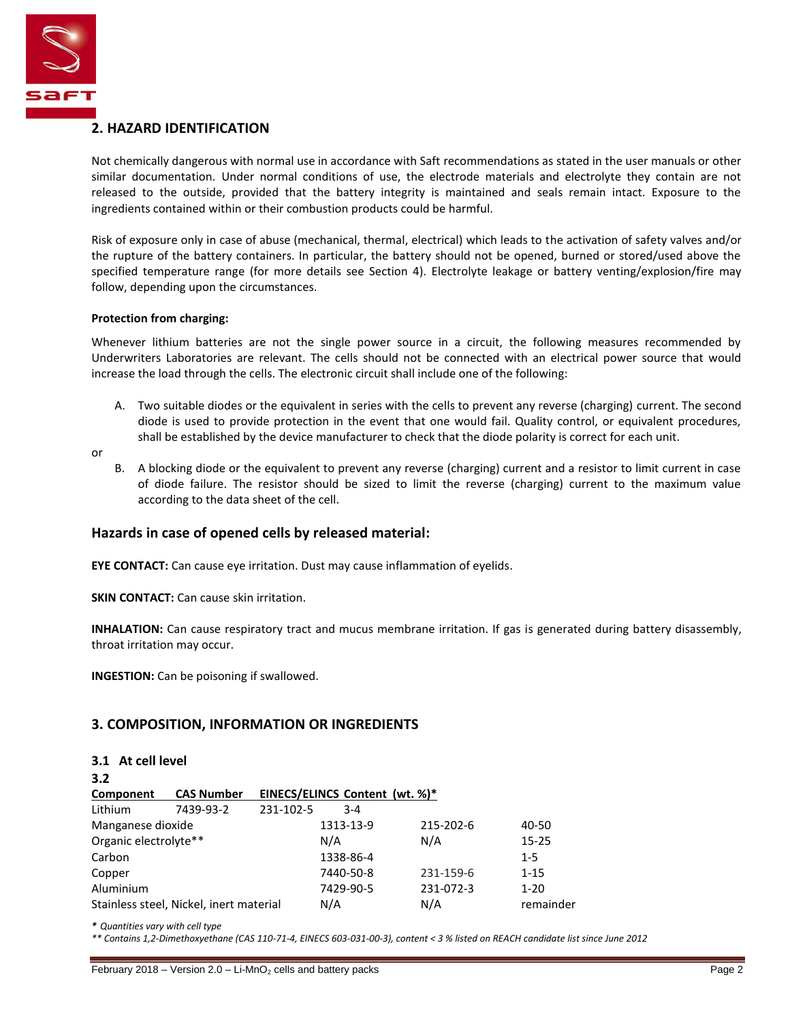

## **2. HAZARD IDENTIFICATION**

Not chemically dangerous with normal use in accordance with Saft recommendations as stated in the user manuals or other similar documentation. Under normal conditions of use, the electrode materials and electrolyte they contain are not released to the outside, provided that the battery integrity is maintained and seals remain intact. Exposure to the ingredients contained within or their combustion products could be harmful.

Risk of exposure only in case of abuse (mechanical, thermal, electrical) which leads to the activation of safety valves and/or the rupture of the battery containers. In particular, the battery should not be opened, burned or stored/used above the specified temperature range (for more details see Section 4). Electrolyte leakage or battery venting/explosion/fire may follow, depending upon the circumstances.

#### **Protection from charging:**

Whenever lithium batteries are not the single power source in a circuit, the following measures recommended by Underwriters Laboratories are relevant. The cells should not be connected with an electrical power source that would increase the load through the cells. The electronic circuit shall include one of the following:

A. Two suitable diodes or the equivalent in series with the cells to prevent any reverse (charging) current. The second diode is used to provide protection in the event that one would fail. Quality control, or equivalent procedures, shall be established by the device manufacturer to check that the diode polarity is correct for each unit.

or

B. A blocking diode or the equivalent to prevent any reverse (charging) current and a resistor to limit current in case of diode failure. The resistor should be sized to limit the reverse (charging) current to the maximum value according to the data sheet of the cell.

## **Hazards in case of opened cells by released material:**

**EYE CONTACT:** Can cause eye irritation. Dust may cause inflammation of eyelids.

**SKIN CONTACT:** Can cause skin irritation.

**INHALATION:** Can cause respiratory tract and mucus membrane irritation. If gas is generated during battery disassembly, throat irritation may occur.

**INGESTION:** Can be poisoning if swallowed.

#### **3. COMPOSITION, INFORMATION OR INGREDIENTS**

#### **3.1 At cell level**

| 3.2                                     |                   |                                |           |           |           |
|-----------------------------------------|-------------------|--------------------------------|-----------|-----------|-----------|
| Component                               | <b>CAS Number</b> | EINECS/ELINCS Content (wt. %)* |           |           |           |
| Lithium                                 | 7439-93-2         | 231-102-5                      | $3 - 4$   |           |           |
| Manganese dioxide                       |                   |                                | 1313-13-9 | 215-202-6 | 40-50     |
| Organic electrolyte**                   |                   |                                | N/A       | N/A       | $15 - 25$ |
| Carbon                                  |                   |                                | 1338-86-4 |           | $1 - 5$   |
| Copper                                  |                   |                                | 7440-50-8 | 231-159-6 | $1 - 15$  |
| Aluminium                               |                   |                                | 7429-90-5 | 231-072-3 | $1 - 20$  |
| Stainless steel, Nickel, inert material |                   |                                | N/A       | N/A       | remainder |

*\* Quantities vary with cell type*

*\*\* Contains 1,2-Dimethoxyethane (CAS 110-71-4, EINECS 603-031-00-3), content < 3 % listed on REACH candidate list since June 2012*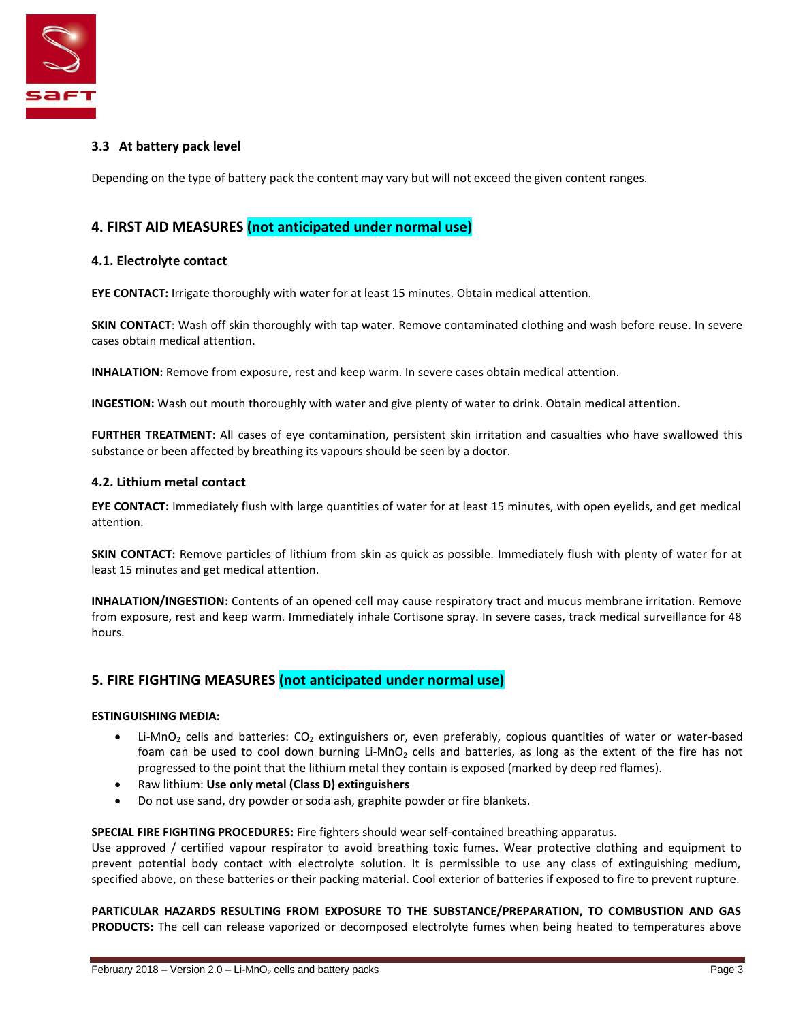

#### **3.3 At battery pack level**

Depending on the type of battery pack the content may vary but will not exceed the given content ranges.

## **4. FIRST AID MEASURES (not anticipated under normal use)**

#### **4.1. Electrolyte contact**

**EYE CONTACT:** Irrigate thoroughly with water for at least 15 minutes. Obtain medical attention.

**SKIN CONTACT**: Wash off skin thoroughly with tap water. Remove contaminated clothing and wash before reuse. In severe cases obtain medical attention.

**INHALATION:** Remove from exposure, rest and keep warm. In severe cases obtain medical attention.

**INGESTION:** Wash out mouth thoroughly with water and give plenty of water to drink. Obtain medical attention.

**FURTHER TREATMENT**: All cases of eye contamination, persistent skin irritation and casualties who have swallowed this substance or been affected by breathing its vapours should be seen by a doctor.

#### **4.2. Lithium metal contact**

**EYE CONTACT:** Immediately flush with large quantities of water for at least 15 minutes, with open eyelids, and get medical attention.

**SKIN CONTACT:** Remove particles of lithium from skin as quick as possible. Immediately flush with plenty of water for at least 15 minutes and get medical attention.

**INHALATION/INGESTION:** Contents of an opened cell may cause respiratory tract and mucus membrane irritation. Remove from exposure, rest and keep warm. Immediately inhale Cortisone spray. In severe cases, track medical surveillance for 48 hours.

## **5. FIRE FIGHTING MEASURES (not anticipated under normal use)**

#### **ESTINGUISHING MEDIA:**

- $\bullet$  Li-MnO<sub>2</sub> cells and batteries: CO<sub>2</sub> extinguishers or, even preferably, copious quantities of water or water-based foam can be used to cool down burning Li-MnO<sub>2</sub> cells and batteries, as long as the extent of the fire has not progressed to the point that the lithium metal they contain is exposed (marked by deep red flames).
- Raw lithium: **Use only metal (Class D) extinguishers**
- Do not use sand, dry powder or soda ash, graphite powder or fire blankets.

**SPECIAL FIRE FIGHTING PROCEDURES:** Fire fighters should wear self-contained breathing apparatus.

Use approved / certified vapour respirator to avoid breathing toxic fumes. Wear protective clothing and equipment to prevent potential body contact with electrolyte solution. It is permissible to use any class of extinguishing medium, specified above, on these batteries or their packing material. Cool exterior of batteries if exposed to fire to prevent rupture.

## **PARTICULAR HAZARDS RESULTING FROM EXPOSURE TO THE SUBSTANCE/PREPARATION, TO COMBUSTION AND GAS**

**PRODUCTS:** The cell can release vaporized or decomposed electrolyte fumes when being heated to temperatures above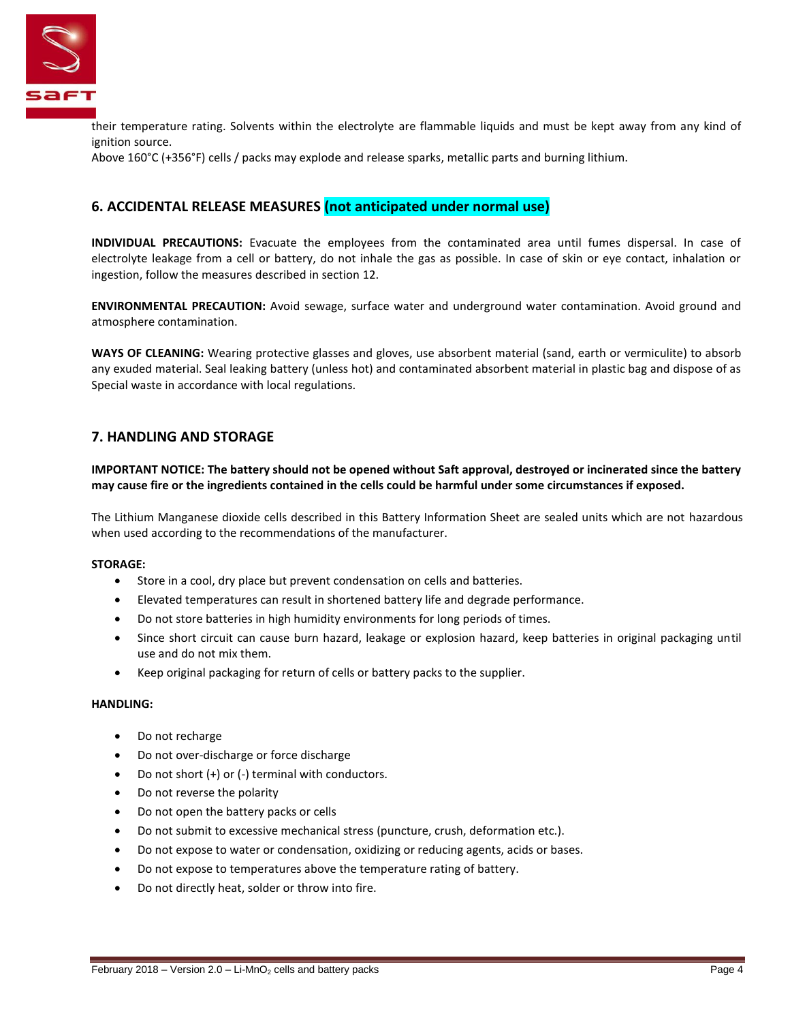

their temperature rating. Solvents within the electrolyte are flammable liquids and must be kept away from any kind of ignition source.

Above 160°C (+356°F) cells / packs may explode and release sparks, metallic parts and burning lithium.

## **6. ACCIDENTAL RELEASE MEASURES (not anticipated under normal use)**

**INDIVIDUAL PRECAUTIONS:** Evacuate the employees from the contaminated area until fumes dispersal. In case of electrolyte leakage from a cell or battery, do not inhale the gas as possible. In case of skin or eye contact, inhalation or ingestion, follow the measures described in section 12.

**ENVIRONMENTAL PRECAUTION:** Avoid sewage, surface water and underground water contamination. Avoid ground and atmosphere contamination.

**WAYS OF CLEANING:** Wearing protective glasses and gloves, use absorbent material (sand, earth or vermiculite) to absorb any exuded material. Seal leaking battery (unless hot) and contaminated absorbent material in plastic bag and dispose of as Special waste in accordance with local regulations.

## **7. HANDLING AND STORAGE**

**IMPORTANT NOTICE: The battery should not be opened without Saft approval, destroyed or incinerated since the battery may cause fire or the ingredients contained in the cells could be harmful under some circumstances if exposed.**

The Lithium Manganese dioxide cells described in this Battery Information Sheet are sealed units which are not hazardous when used according to the recommendations of the manufacturer.

#### **STORAGE:**

- Store in a cool, dry place but prevent condensation on cells and batteries.
- Elevated temperatures can result in shortened battery life and degrade performance.
- Do not store batteries in high humidity environments for long periods of times.
- Since short circuit can cause burn hazard, leakage or explosion hazard, keep batteries in original packaging until use and do not mix them.
- Keep original packaging for return of cells or battery packs to the supplier.

#### **HANDLING:**

- Do not recharge
- Do not over-discharge or force discharge
- Do not short (+) or (-) terminal with conductors.
- Do not reverse the polarity
- Do not open the battery packs or cells
- Do not submit to excessive mechanical stress (puncture, crush, deformation etc.).
- Do not expose to water or condensation, oxidizing or reducing agents, acids or bases.
- Do not expose to temperatures above the temperature rating of battery.
- Do not directly heat, solder or throw into fire.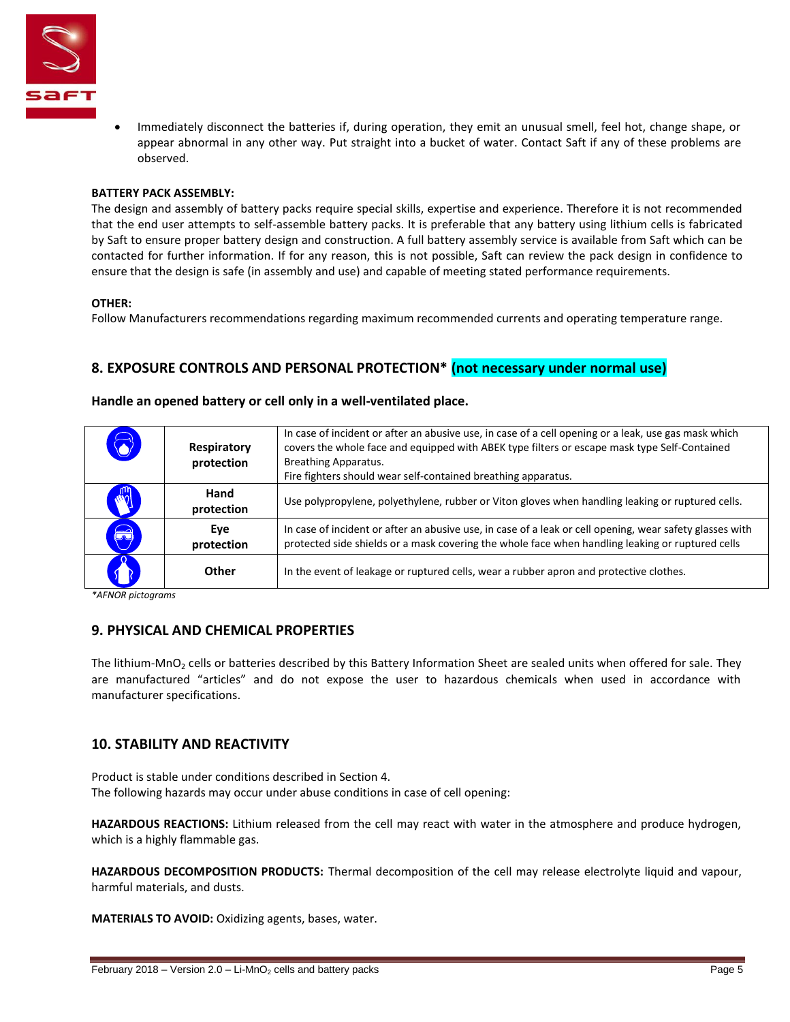

 Immediately disconnect the batteries if, during operation, they emit an unusual smell, feel hot, change shape, or appear abnormal in any other way. Put straight into a bucket of water. Contact Saft if any of these problems are observed.

#### **BATTERY PACK ASSEMBLY:**

The design and assembly of battery packs require special skills, expertise and experience. Therefore it is not recommended that the end user attempts to self-assemble battery packs. It is preferable that any battery using lithium cells is fabricated by Saft to ensure proper battery design and construction. A full battery assembly service is available from Saft which can be contacted for further information. If for any reason, this is not possible, Saft can review the pack design in confidence to ensure that the design is safe (in assembly and use) and capable of meeting stated performance requirements.

#### **OTHER:**

Follow Manufacturers recommendations regarding maximum recommended currents and operating temperature range.

## **8. EXPOSURE CONTROLS AND PERSONAL PROTECTION\* (not necessary under normal use)**

| 8              | <b>Respiratory</b><br>protection | In case of incident or after an abusive use, in case of a cell opening or a leak, use gas mask which<br>covers the whole face and equipped with ABEK type filters or escape mask type Self-Contained<br><b>Breathing Apparatus.</b><br>Fire fighters should wear self-contained breathing apparatus. |
|----------------|----------------------------------|------------------------------------------------------------------------------------------------------------------------------------------------------------------------------------------------------------------------------------------------------------------------------------------------------|
| $\mathbb{R}^n$ | Hand<br>protection               | Use polypropylene, polyethylene, rubber or Viton gloves when handling leaking or ruptured cells.                                                                                                                                                                                                     |
| 8              | Eye<br>protection                | In case of incident or after an abusive use, in case of a leak or cell opening, wear safety glasses with<br>protected side shields or a mask covering the whole face when handling leaking or ruptured cells                                                                                         |
|                | Other                            | In the event of leakage or ruptured cells, wear a rubber apron and protective clothes.                                                                                                                                                                                                               |

#### **Handle an opened battery or cell only in a well-ventilated place.**

*\*AFNOR pictograms*

## **9. PHYSICAL AND CHEMICAL PROPERTIES**

The lithium-MnO<sub>2</sub> cells or batteries described by this Battery Information Sheet are sealed units when offered for sale. They are manufactured "articles" and do not expose the user to hazardous chemicals when used in accordance with manufacturer specifications.

## **10. STABILITY AND REACTIVITY**

Product is stable under conditions described in Section 4. The following hazards may occur under abuse conditions in case of cell opening:

**HAZARDOUS REACTIONS:** Lithium released from the cell may react with water in the atmosphere and produce hydrogen, which is a highly flammable gas.

**HAZARDOUS DECOMPOSITION PRODUCTS:** Thermal decomposition of the cell may release electrolyte liquid and vapour, harmful materials, and dusts.

**MATERIALS TO AVOID:** Oxidizing agents, bases, water.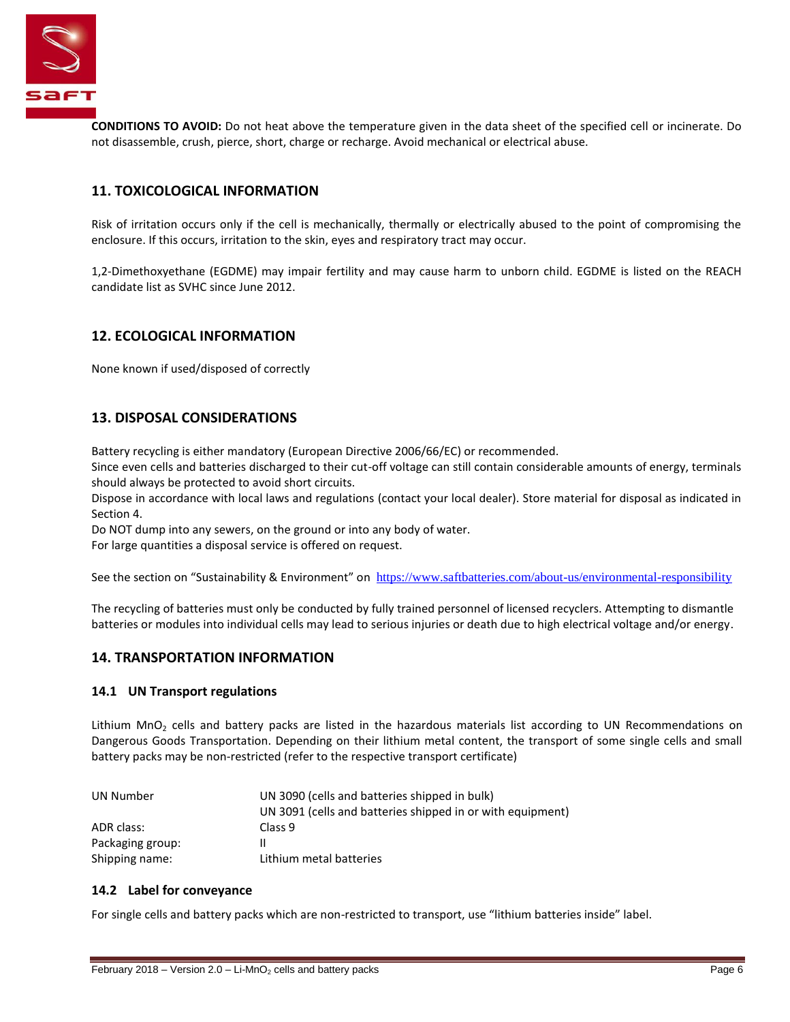

**CONDITIONS TO AVOID:** Do not heat above the temperature given in the data sheet of the specified cell or incinerate. Do not disassemble, crush, pierce, short, charge or recharge. Avoid mechanical or electrical abuse.

## **11. TOXICOLOGICAL INFORMATION**

Risk of irritation occurs only if the cell is mechanically, thermally or electrically abused to the point of compromising the enclosure. If this occurs, irritation to the skin, eyes and respiratory tract may occur.

1,2-Dimethoxyethane (EGDME) may impair fertility and may cause harm to unborn child. EGDME is listed on the REACH candidate list as SVHC since June 2012.

#### **12. ECOLOGICAL INFORMATION**

None known if used/disposed of correctly

## **13. DISPOSAL CONSIDERATIONS**

Battery recycling is either mandatory (European Directive 2006/66/EC) or recommended.

Since even cells and batteries discharged to their cut-off voltage can still contain considerable amounts of energy, terminals should always be protected to avoid short circuits.

Dispose in accordance with local laws and regulations (contact your local dealer). Store material for disposal as indicated in Section 4.

Do NOT dump into any sewers, on the ground or into any body of water. For large quantities a disposal service is offered on request.

See the section on "Sustainability & Environment" on <https://www.saftbatteries.com/about-us/environmental-responsibility>

The recycling of batteries must only be conducted by fully trained personnel of licensed recyclers. Attempting to dismantle batteries or modules into individual cells may lead to serious injuries or death due to high electrical voltage and/or energy.

#### **14. TRANSPORTATION INFORMATION**

#### **14.1 UN Transport regulations**

Lithium MnO<sub>2</sub> cells and battery packs are listed in the hazardous materials list according to UN Recommendations on Dangerous Goods Transportation. Depending on their lithium metal content, the transport of some single cells and small battery packs may be non-restricted (refer to the respective transport certificate)

| UN Number        | UN 3090 (cells and batteries shipped in bulk)              |
|------------------|------------------------------------------------------------|
|                  | UN 3091 (cells and batteries shipped in or with equipment) |
| ADR class:       | Class 9                                                    |
| Packaging group: |                                                            |
| Shipping name:   | Lithium metal batteries                                    |

#### **14.2 Label for conveyance**

For single cells and battery packs which are non-restricted to transport, use "lithium batteries inside" label.